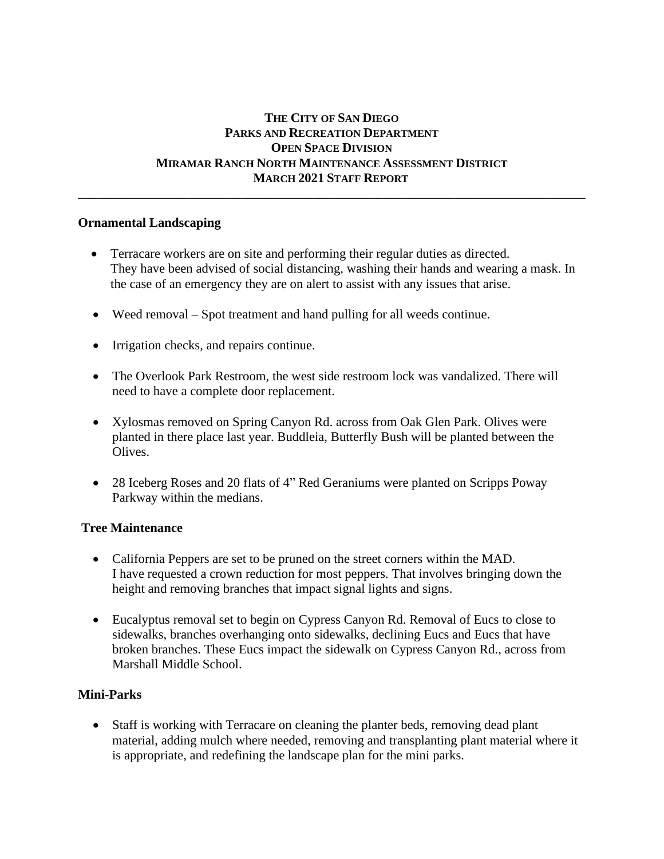# **THE CITY OF SAN DIEGO PARKS AND RECREATION DEPARTMENT OPEN SPACE DIVISION MIRAMAR RANCH NORTH MAINTENANCE ASSESSMENT DISTRICT MARCH 2021 STAFF REPORT**

\_\_\_\_\_\_\_\_\_\_\_\_\_\_\_\_\_\_\_\_\_\_\_\_\_\_\_\_\_\_\_\_\_\_\_\_\_\_\_\_\_\_\_\_\_\_\_\_\_\_\_\_\_\_\_\_\_\_\_\_\_\_\_\_\_\_\_\_\_\_\_\_\_\_\_\_\_\_

### **Ornamental Landscaping**

- Terracare workers are on site and performing their regular duties as directed. They have been advised of social distancing, washing their hands and wearing a mask. In the case of an emergency they are on alert to assist with any issues that arise.
- Weed removal Spot treatment and hand pulling for all weeds continue.
- Irrigation checks, and repairs continue.
- The Overlook Park Restroom, the west side restroom lock was vandalized. There will need to have a complete door replacement.
- Xylosmas removed on Spring Canyon Rd. across from Oak Glen Park. Olives were planted in there place last year. Buddleia, Butterfly Bush will be planted between the Olives.
- 28 Iceberg Roses and 20 flats of 4" Red Geraniums were planted on Scripps Poway Parkway within the medians.

# **Tree Maintenance**

- California Peppers are set to be pruned on the street corners within the MAD. I have requested a crown reduction for most peppers. That involves bringing down the height and removing branches that impact signal lights and signs.
- Eucalyptus removal set to begin on Cypress Canyon Rd. Removal of Eucs to close to sidewalks, branches overhanging onto sidewalks, declining Eucs and Eucs that have broken branches. These Eucs impact the sidewalk on Cypress Canyon Rd., across from Marshall Middle School.

# **Mini-Parks**

• Staff is working with Terracare on cleaning the planter beds, removing dead plant material, adding mulch where needed, removing and transplanting plant material where it is appropriate, and redefining the landscape plan for the mini parks.